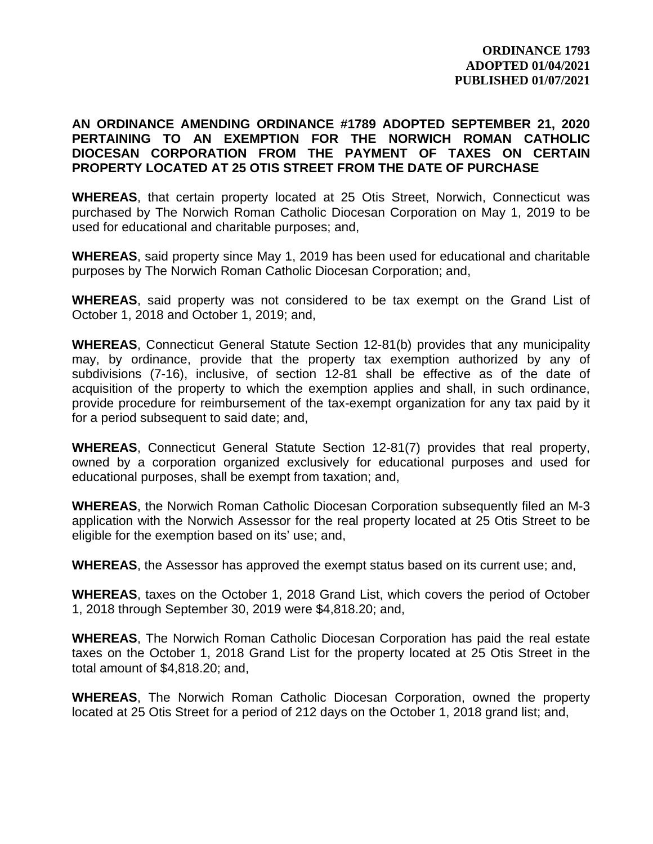## **AN ORDINANCE AMENDING ORDINANCE #1789 ADOPTED SEPTEMBER 21, 2020 PERTAINING TO AN EXEMPTION FOR THE NORWICH ROMAN CATHOLIC DIOCESAN CORPORATION FROM THE PAYMENT OF TAXES ON CERTAIN PROPERTY LOCATED AT 25 OTIS STREET FROM THE DATE OF PURCHASE**

**WHEREAS**, that certain property located at 25 Otis Street, Norwich, Connecticut was purchased by The Norwich Roman Catholic Diocesan Corporation on May 1, 2019 to be used for educational and charitable purposes; and,

**WHEREAS**, said property since May 1, 2019 has been used for educational and charitable purposes by The Norwich Roman Catholic Diocesan Corporation; and,

**WHEREAS**, said property was not considered to be tax exempt on the Grand List of October 1, 2018 and October 1, 2019; and,

**WHEREAS**, Connecticut General Statute Section 12-81(b) provides that any municipality may, by ordinance, provide that the property tax exemption authorized by any of subdivisions (7-16), inclusive, of section 12-81 shall be effective as of the date of acquisition of the property to which the exemption applies and shall, in such ordinance, provide procedure for reimbursement of the tax-exempt organization for any tax paid by it for a period subsequent to said date; and,

**WHEREAS**, Connecticut General Statute Section 12-81(7) provides that real property, owned by a corporation organized exclusively for educational purposes and used for educational purposes, shall be exempt from taxation; and,

**WHEREAS**, the Norwich Roman Catholic Diocesan Corporation subsequently filed an M-3 application with the Norwich Assessor for the real property located at 25 Otis Street to be eligible for the exemption based on its' use; and,

**WHEREAS**, the Assessor has approved the exempt status based on its current use; and,

**WHEREAS**, taxes on the October 1, 2018 Grand List, which covers the period of October 1, 2018 through September 30, 2019 were \$4,818.20; and,

**WHEREAS**, The Norwich Roman Catholic Diocesan Corporation has paid the real estate taxes on the October 1, 2018 Grand List for the property located at 25 Otis Street in the total amount of \$4,818.20; and,

**WHEREAS**, The Norwich Roman Catholic Diocesan Corporation, owned the property located at 25 Otis Street for a period of 212 days on the October 1, 2018 grand list; and,